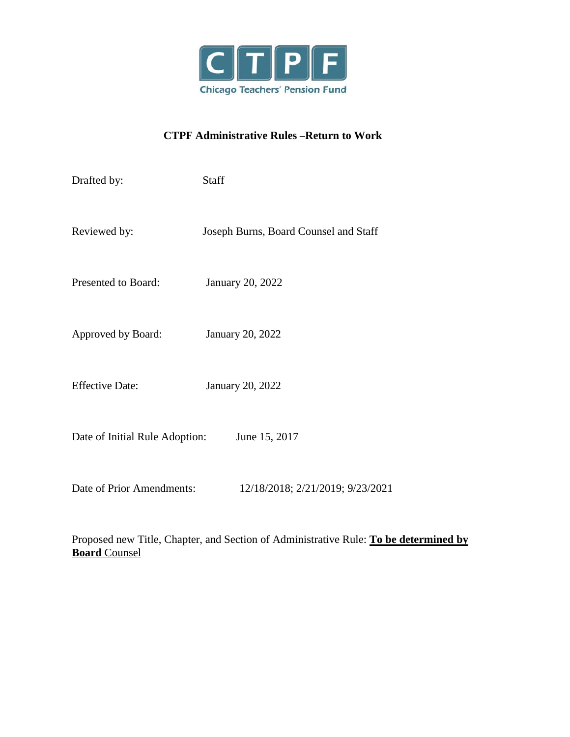

# **CTPF Administrative Rules –Return to Work**

| Drafted by:                                     | <b>Staff</b>                          |
|-------------------------------------------------|---------------------------------------|
| Reviewed by:                                    | Joseph Burns, Board Counsel and Staff |
| Presented to Board:                             | <b>January 20, 2022</b>               |
| Approved by Board:                              | January 20, 2022                      |
| <b>Effective Date:</b>                          | January 20, 2022                      |
| June 15, 2017<br>Date of Initial Rule Adoption: |                                       |
| Date of Prior Amendments:                       | 12/18/2018; 2/21/2019; 9/23/2021      |

Proposed new Title, Chapter, and Section of Administrative Rule: **To be determined by Board** Counsel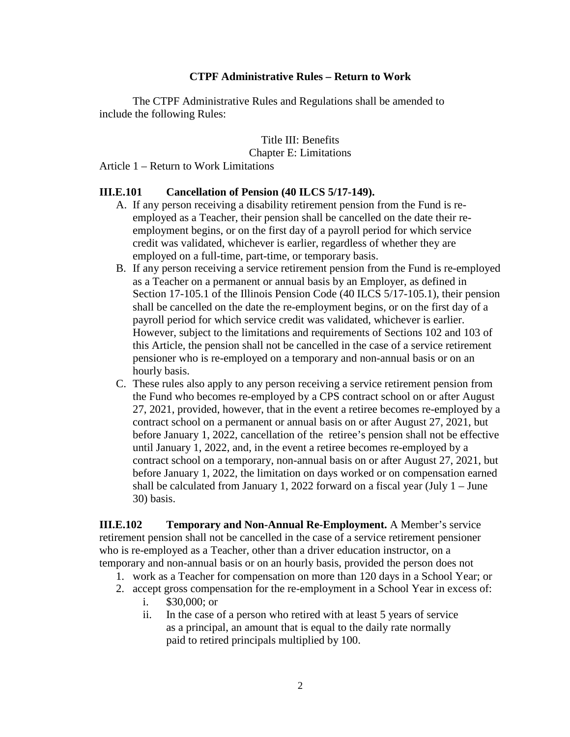### **CTPF Administrative Rules – Return to Work**

The CTPF Administrative Rules and Regulations shall be amended to include the following Rules:

> Title III: Benefits Chapter E: Limitations

Article 1 – Return to Work Limitations

#### **III.E.101 Cancellation of Pension (40 ILCS 5/17-149).**

- A. If any person receiving a disability retirement pension from the Fund is reemployed as a Teacher, their pension shall be cancelled on the date their reemployment begins, or on the first day of a payroll period for which service credit was validated, whichever is earlier, regardless of whether they are employed on a full-time, part-time, or temporary basis.
- B. If any person receiving a service retirement pension from the Fund is re-employed as a Teacher on a permanent or annual basis by an Employer, as defined in Section 17-105.1 of the Illinois Pension Code (40 ILCS 5/17-105.1), their pension shall be cancelled on the date the re-employment begins, or on the first day of a payroll period for which service credit was validated, whichever is earlier. However, subject to the limitations and requirements of Sections 102 and 103 of this Article, the pension shall not be cancelled in the case of a service retirement pensioner who is re-employed on a temporary and non-annual basis or on an hourly basis.
- C. These rules also apply to any person receiving a service retirement pension from the Fund who becomes re-employed by a CPS contract school on or after August 27, 2021, provided, however, that in the event a retiree becomes re-employed by a contract school on a permanent or annual basis on or after August 27, 2021, but before January 1, 2022, cancellation of the retiree's pension shall not be effective until January 1, 2022, and, in the event a retiree becomes re-employed by a contract school on a temporary, non-annual basis on or after August 27, 2021, but before January 1, 2022, the limitation on days worked or on compensation earned shall be calculated from January 1, 2022 forward on a fiscal year (July 1 – June 30) basis.

**III.E.102 Temporary and Non-Annual Re-Employment.** A Member's service retirement pension shall not be cancelled in the case of a service retirement pensioner who is re-employed as a Teacher, other than a driver education instructor, on a temporary and non-annual basis or on an hourly basis, provided the person does not

- 1. work as a Teacher for compensation on more than 120 days in a School Year; or
- 2. accept gross compensation for the re-employment in a School Year in excess of:
	- i. \$30,000; or
	- ii. In the case of a person who retired with at least 5 years of service as a principal, an amount that is equal to the daily rate normally paid to retired principals multiplied by 100.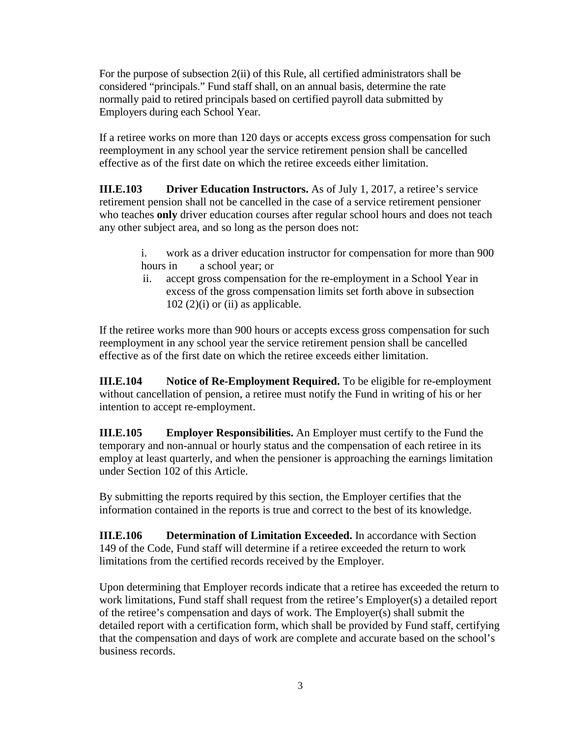For the purpose of subsection 2(ii) of this Rule, all certified administrators shall be considered "principals." Fund staff shall, on an annual basis, determine the rate normally paid to retired principals based on certified payroll data submitted by Employers during each School Year.

If a retiree works on more than 120 days or accepts excess gross compensation for such reemployment in any school year the service retirement pension shall be cancelled effective as of the first date on which the retiree exceeds either limitation.

**III.E.103 Driver Education Instructors.** As of July 1, 2017, a retiree's service retirement pension shall not be cancelled in the case of a service retirement pensioner who teaches **only** driver education courses after regular school hours and does not teach any other subject area, and so long as the person does not:

- i. work as a driver education instructor for compensation for more than 900 hours in a school year; or
- ii. accept gross compensation for the re-employment in a School Year in excess of the gross compensation limits set forth above in subsection  $102$  (2)(i) or (ii) as applicable.

If the retiree works more than 900 hours or accepts excess gross compensation for such reemployment in any school year the service retirement pension shall be cancelled effective as of the first date on which the retiree exceeds either limitation.

**III.E.104 Notice of Re-Employment Required.** To be eligible for re-employment without cancellation of pension, a retiree must notify the Fund in writing of his or her intention to accept re-employment.

**III.E.105 Employer Responsibilities.** An Employer must certify to the Fund the temporary and non-annual or hourly status and the compensation of each retiree in its employ at least quarterly, and when the pensioner is approaching the earnings limitation under Section 102 of this Article.

By submitting the reports required by this section, the Employer certifies that the information contained in the reports is true and correct to the best of its knowledge.

**III.E.106 Determination of Limitation Exceeded.** In accordance with Section 149 of the Code, Fund staff will determine if a retiree exceeded the return to work limitations from the certified records received by the Employer.

Upon determining that Employer records indicate that a retiree has exceeded the return to work limitations, Fund staff shall request from the retiree's Employer(s) a detailed report of the retiree's compensation and days of work. The Employer(s) shall submit the detailed report with a certification form, which shall be provided by Fund staff, certifying that the compensation and days of work are complete and accurate based on the school's business records.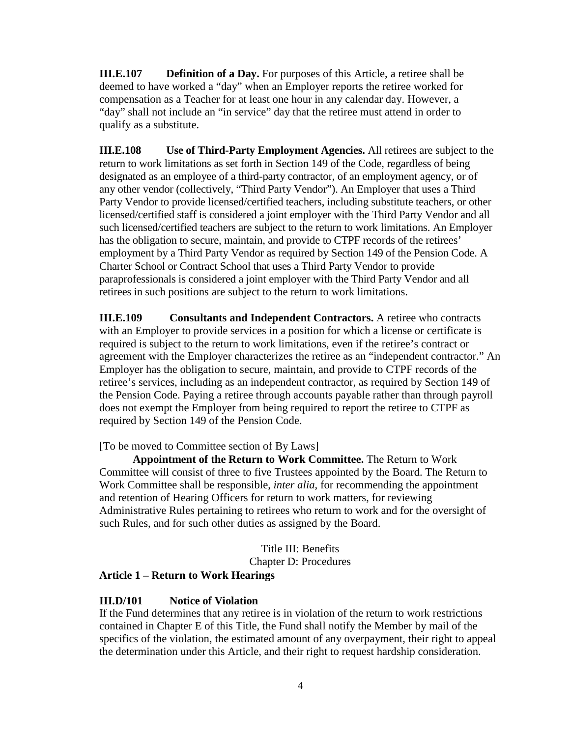**III.E.107** Definition of a Day. For purposes of this Article, a retiree shall be deemed to have worked a "day" when an Employer reports the retiree worked for compensation as a Teacher for at least one hour in any calendar day. However, a "day" shall not include an "in service" day that the retiree must attend in order to qualify as a substitute.

**III.E.108 Use of Third-Party Employment Agencies.** All retirees are subject to the return to work limitations as set forth in Section 149 of the Code, regardless of being designated as an employee of a third-party contractor, of an employment agency, or of any other vendor (collectively, "Third Party Vendor"). An Employer that uses a Third Party Vendor to provide licensed/certified teachers, including substitute teachers, or other licensed/certified staff is considered a joint employer with the Third Party Vendor and all such licensed/certified teachers are subject to the return to work limitations. An Employer has the obligation to secure, maintain, and provide to CTPF records of the retirees' employment by a Third Party Vendor as required by Section 149 of the Pension Code. A Charter School or Contract School that uses a Third Party Vendor to provide paraprofessionals is considered a joint employer with the Third Party Vendor and all retirees in such positions are subject to the return to work limitations.

**III.E.109 Consultants and Independent Contractors.** A retiree who contracts with an Employer to provide services in a position for which a license or certificate is required is subject to the return to work limitations, even if the retiree's contract or agreement with the Employer characterizes the retiree as an "independent contractor." An Employer has the obligation to secure, maintain, and provide to CTPF records of the retiree's services, including as an independent contractor, as required by Section 149 of the Pension Code. Paying a retiree through accounts payable rather than through payroll does not exempt the Employer from being required to report the retiree to CTPF as required by Section 149 of the Pension Code.

[To be moved to Committee section of By Laws]

**Appointment of the Return to Work Committee.** The Return to Work Committee will consist of three to five Trustees appointed by the Board. The Return to Work Committee shall be responsible, *inter alia*, for recommending the appointment and retention of Hearing Officers for return to work matters, for reviewing Administrative Rules pertaining to retirees who return to work and for the oversight of such Rules, and for such other duties as assigned by the Board.

Title III: Benefits

Chapter D: Procedures

# **Article 1 – Return to Work Hearings**

#### **III.D/101 Notice of Violation**

If the Fund determines that any retiree is in violation of the return to work restrictions contained in Chapter E of this Title, the Fund shall notify the Member by mail of the specifics of the violation, the estimated amount of any overpayment, their right to appeal the determination under this Article, and their right to request hardship consideration.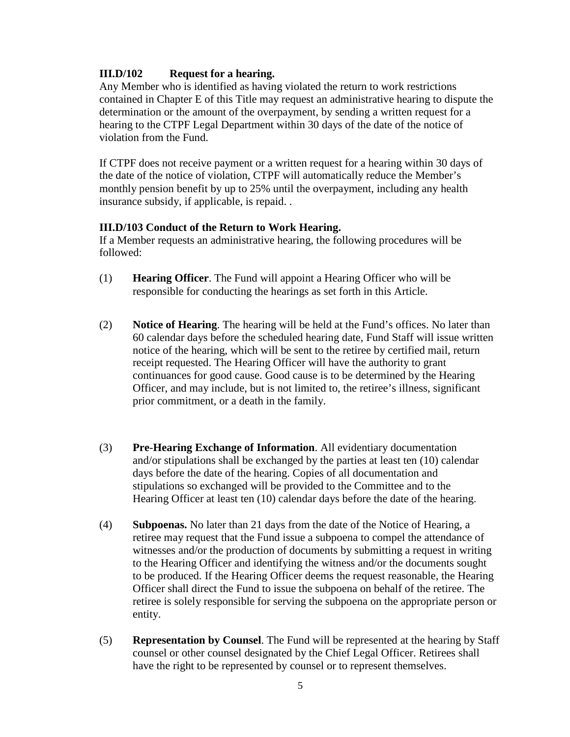# **III.D/102 Request for a hearing.**

Any Member who is identified as having violated the return to work restrictions contained in Chapter E of this Title may request an administrative hearing to dispute the determination or the amount of the overpayment, by sending a written request for a hearing to the CTPF Legal Department within 30 days of the date of the notice of violation from the Fund.

If CTPF does not receive payment or a written request for a hearing within 30 days of the date of the notice of violation, CTPF will automatically reduce the Member's monthly pension benefit by up to 25% until the overpayment, including any health insurance subsidy, if applicable, is repaid. .

### **III.D/103 Conduct of the Return to Work Hearing.**

If a Member requests an administrative hearing, the following procedures will be followed:

- (1) **Hearing Officer**. The Fund will appoint a Hearing Officer who will be responsible for conducting the hearings as set forth in this Article.
- (2) **Notice of Hearing**. The hearing will be held at the Fund's offices. No later than 60 calendar days before the scheduled hearing date, Fund Staff will issue written notice of the hearing, which will be sent to the retiree by certified mail, return receipt requested. The Hearing Officer will have the authority to grant continuances for good cause. Good cause is to be determined by the Hearing Officer, and may include, but is not limited to, the retiree's illness, significant prior commitment, or a death in the family.
- (3) **Pre**-**Hearing Exchange of Information**. All evidentiary documentation and/or stipulations shall be exchanged by the parties at least ten (10) calendar days before the date of the hearing. Copies of all documentation and stipulations so exchanged will be provided to the Committee and to the Hearing Officer at least ten (10) calendar days before the date of the hearing.
- (4) **Subpoenas.** No later than 21 days from the date of the Notice of Hearing, a retiree may request that the Fund issue a subpoena to compel the attendance of witnesses and/or the production of documents by submitting a request in writing to the Hearing Officer and identifying the witness and/or the documents sought to be produced. If the Hearing Officer deems the request reasonable, the Hearing Officer shall direct the Fund to issue the subpoena on behalf of the retiree. The retiree is solely responsible for serving the subpoena on the appropriate person or entity.
- (5) **Representation by Counsel**. The Fund will be represented at the hearing by Staff counsel or other counsel designated by the Chief Legal Officer. Retirees shall have the right to be represented by counsel or to represent themselves.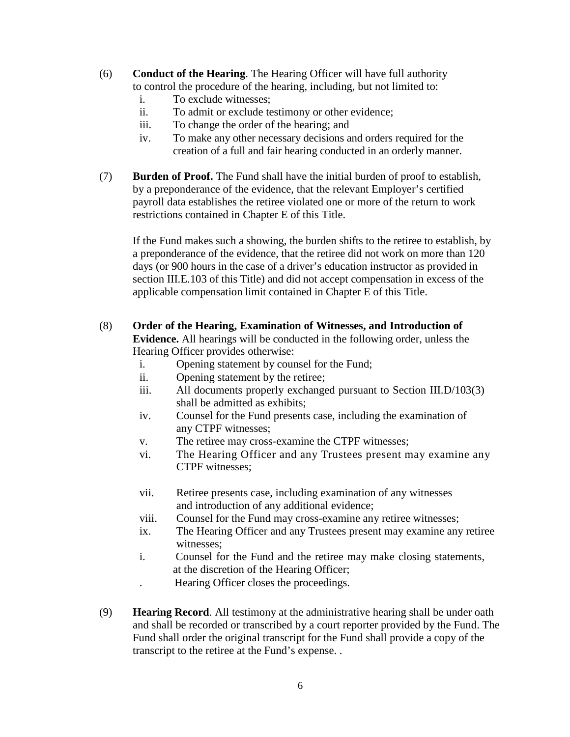- (6) **Conduct of the Hearing**. The Hearing Officer will have full authority to control the procedure of the hearing, including, but not limited to:
	- i. To exclude witnesses;
	- ii. To admit or exclude testimony or other evidence;
	- iii. To change the order of the hearing; and
	- iv. To make any other necessary decisions and orders required for the creation of a full and fair hearing conducted in an orderly manner.
- (7) **Burden of Proof.** The Fund shall have the initial burden of proof to establish, by a preponderance of the evidence, that the relevant Employer's certified payroll data establishes the retiree violated one or more of the return to work restrictions contained in Chapter E of this Title.

If the Fund makes such a showing, the burden shifts to the retiree to establish, by a preponderance of the evidence, that the retiree did not work on more than 120 days (or 900 hours in the case of a driver's education instructor as provided in section III.E.103 of this Title) and did not accept compensation in excess of the applicable compensation limit contained in Chapter E of this Title.

- (8) **Order of the Hearing, Examination of Witnesses, and Introduction of Evidence.** All hearings will be conducted in the following order, unless the Hearing Officer provides otherwise:
	- i. Opening statement by counsel for the Fund;
	- ii. Opening statement by the retiree;
	- iii. All documents properly exchanged pursuant to Section III.D/103(3) shall be admitted as exhibits;
	- iv. Counsel for the Fund presents case, including the examination of any CTPF witnesses;
	- v. The retiree may cross-examine the CTPF witnesses;
	- vi. The Hearing Officer and any Trustees present may examine any CTPF witnesses;
	- vii. Retiree presents case, including examination of any witnesses and introduction of any additional evidence;
	- viii. Counsel for the Fund may cross-examine any retiree witnesses;
	- ix. The Hearing Officer and any Trustees present may examine any retiree witnesses;
	- i. Counsel for the Fund and the retiree may make closing statements, at the discretion of the Hearing Officer;
		- . Hearing Officer closes the proceedings.
- (9) **Hearing Record**. All testimony at the administrative hearing shall be under oath and shall be recorded or transcribed by a court reporter provided by the Fund. The Fund shall order the original transcript for the Fund shall provide a copy of the transcript to the retiree at the Fund's expense. .